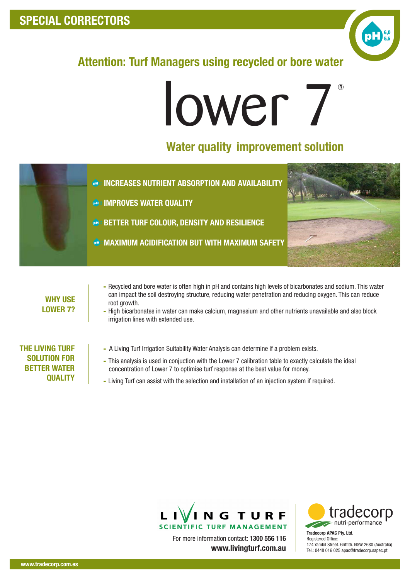## SPECIAL CORRECTORS



## Attention: Turf Managers using recycled or bore water

# lower 7

### Water quality improvement solution



#### WHY USE LOWER 7?

- Recycled and bore water is often high in pH and contains high levels of bicarbonates and sodium. This water can impact the soil destroying structure, reducing water penetration and reducing oxygen. This can reduce root growth.
- High bicarbonates in water can make calcium, magnesium and other nutrients unavailable and also block irrigation lines with extended use.

#### THE LIVING TURF SOLUTION FOR BETTER WATER **QUALITY**

- A Living Turf Irrigation Suitability Water Analysis can determine if a problem exists.
- This analysis is used in conjuction with the Lower 7 calibration table to exactly calculate the ideal concentration of Lower 7 to optimise turf response at the best value for money.
- Living Turf can assist with the selection and installation of an injection system if required.